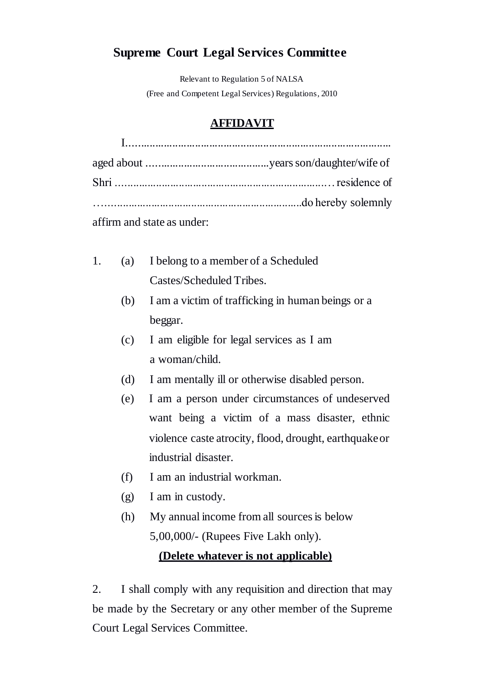# **Supreme Court Legal Services Committee**

Relevant to Regulation 5 of NALSA (Free and Competent Legal Services) Regulations, 2010

## **AFFIDAVIT**

|                            | $\frac{1}{2}, \frac{1}{2}, \frac{1}{2}, \frac{1}{2}, \frac{1}{2}, \frac{1}{2}, \frac{1}{2}, \frac{1}{2}, \frac{1}{2}, \frac{1}{2}, \frac{1}{2}, \frac{1}{2}, \frac{1}{2}, \frac{1}{2}, \frac{1}{2}, \frac{1}{2}, \frac{1}{2}, \frac{1}{2}, \frac{1}{2}, \frac{1}{2}, \frac{1}{2}, \frac{1}{2}, \frac{1}{2}, \frac{1}{2}, \frac{1}{2}, \frac{1}{2}, \frac{1}{2}, \frac{1}{2}, \frac{1}{2}, \frac{1}{2}, \frac{1}{2}, \frac{$ |
|----------------------------|-----------------------------------------------------------------------------------------------------------------------------------------------------------------------------------------------------------------------------------------------------------------------------------------------------------------------------------------------------------------------------------------------------------------------------|
|                            |                                                                                                                                                                                                                                                                                                                                                                                                                             |
|                            |                                                                                                                                                                                                                                                                                                                                                                                                                             |
|                            |                                                                                                                                                                                                                                                                                                                                                                                                                             |
| affirm and state as under: |                                                                                                                                                                                                                                                                                                                                                                                                                             |

- 1. (a) I belong to a member of a Scheduled Castes/Scheduled Tribes.
	- (b) I am a victim of trafficking in human beings or a beggar.
	- (c) I am eligible for legal services as I am a woman/child.
	- (d) I am mentally ill or otherwise disabled person.
	- (e) I am a person under circumstances of undeserved want being a victim of a mass disaster, ethnic violence caste atrocity, flood, drought, earthquake or industrial disaster.
	- (f) I am an industrial workman.
	- (g) I am in custody.
	- (h) My annual income from all sources is below 5,00,000/- (Rupees Five Lakh only).

## **(Delete whatever is not applicable)**

2. I shall comply with any requisition and direction that may be made by the Secretary or any other member of the Supreme Court Legal Services Committee.